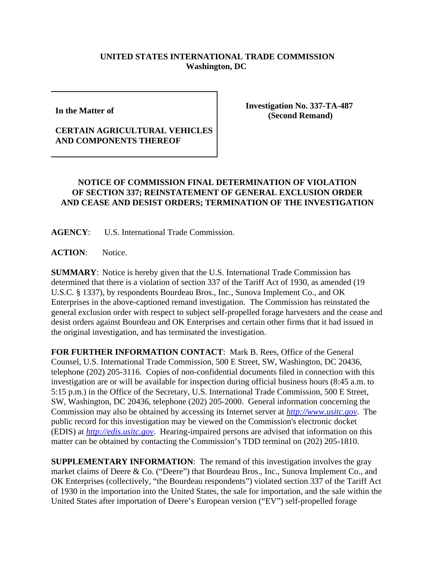## **UNITED STATES INTERNATIONAL TRADE COMMISSION Washington, DC**

**In the Matter of** 

## **CERTAIN AGRICULTURAL VEHICLES AND COMPONENTS THEREOF**

**Investigation No. 337-TA-487 (Second Remand)**

## **NOTICE OF COMMISSION FINAL DETERMINATION OF VIOLATION OF SECTION 337; REINSTATEMENT OF GENERAL EXCLUSION ORDER AND CEASE AND DESIST ORDERS; TERMINATION OF THE INVESTIGATION**

**AGENCY**: U.S. International Trade Commission.

ACTION: Notice.

**SUMMARY**: Notice is hereby given that the U.S. International Trade Commission has determined that there is a violation of section 337 of the Tariff Act of 1930, as amended (19 U.S.C. § 1337), by respondents Bourdeau Bros., Inc., Sunova Implement Co., and OK Enterprises in the above-captioned remand investigation. The Commission has reinstated the general exclusion order with respect to subject self-propelled forage harvesters and the cease and desist orders against Bourdeau and OK Enterprises and certain other firms that it had issued in the original investigation, and has terminated the investigation.

**FOR FURTHER INFORMATION CONTACT**: Mark B. Rees, Office of the General Counsel, U.S. International Trade Commission, 500 E Street, SW, Washington, DC 20436, telephone (202) 205-3116. Copies of non-confidential documents filed in connection with this investigation are or will be available for inspection during official business hours (8:45 a.m. to 5:15 p.m.) in the Office of the Secretary, U.S. International Trade Commission, 500 E Street, SW, Washington, DC 20436, telephone (202) 205-2000. General information concerning the Commission may also be obtained by accessing its Internet server at *http://www.usitc.gov*. The public record for this investigation may be viewed on the Commission's electronic docket (EDIS) at *http://edis.usitc.gov*. Hearing-impaired persons are advised that information on this matter can be obtained by contacting the Commission's TDD terminal on (202) 205-1810.

**SUPPLEMENTARY INFORMATION**: The remand of this investigation involves the gray market claims of Deere & Co. ("Deere") that Bourdeau Bros., Inc., Sunova Implement Co., and OK Enterprises (collectively, "the Bourdeau respondents") violated section 337 of the Tariff Act of 1930 in the importation into the United States, the sale for importation, and the sale within the United States after importation of Deere's European version ("EV") self-propelled forage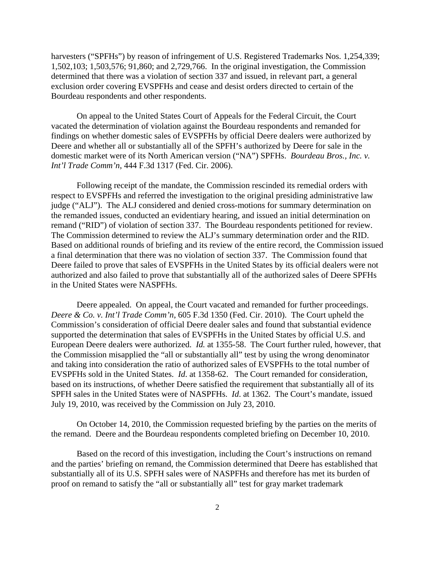harvesters ("SPFHs") by reason of infringement of U.S. Registered Trademarks Nos. 1,254,339; 1,502,103; 1,503,576; 91,860; and 2,729,766. In the original investigation, the Commission determined that there was a violation of section 337 and issued, in relevant part, a general exclusion order covering EVSPFHs and cease and desist orders directed to certain of the Bourdeau respondents and other respondents.

On appeal to the United States Court of Appeals for the Federal Circuit, the Court vacated the determination of violation against the Bourdeau respondents and remanded for findings on whether domestic sales of EVSPFHs by official Deere dealers were authorized by Deere and whether all or substantially all of the SPFH's authorized by Deere for sale in the domestic market were of its North American version ("NA") SPFHs. *Bourdeau Bros., Inc. v. Int'l Trade Comm'n*, 444 F.3d 1317 (Fed. Cir. 2006).

Following receipt of the mandate, the Commission rescinded its remedial orders with respect to EVSPFHs and referred the investigation to the original presiding administrative law judge ("ALJ"). The ALJ considered and denied cross-motions for summary determination on the remanded issues, conducted an evidentiary hearing, and issued an initial determination on remand ("RID") of violation of section 337. The Bourdeau respondents petitioned for review. The Commission determined to review the ALJ's summary determination order and the RID. Based on additional rounds of briefing and its review of the entire record, the Commission issued a final determination that there was no violation of section 337. The Commission found that Deere failed to prove that sales of EVSPFHs in the United States by its official dealers were not authorized and also failed to prove that substantially all of the authorized sales of Deere SPFHs in the United States were NASPFHs.

Deere appealed. On appeal, the Court vacated and remanded for further proceedings. *Deere & Co. v. Int'l Trade Comm'n*, 605 F.3d 1350 (Fed. Cir. 2010). The Court upheld the Commission's consideration of official Deere dealer sales and found that substantial evidence supported the determination that sales of EVSPFHs in the United States by official U.S. and European Deere dealers were authorized. *Id.* at 1355-58. The Court further ruled, however, that the Commission misapplied the "all or substantially all" test by using the wrong denominator and taking into consideration the ratio of authorized sales of EVSPFHs to the total number of EVSPFHs sold in the United States. *Id*. at 1358-62. The Court remanded for consideration, based on its instructions, of whether Deere satisfied the requirement that substantially all of its SPFH sales in the United States were of NASPFHs. *Id*. at 1362. The Court's mandate, issued July 19, 2010, was received by the Commission on July 23, 2010.

On October 14, 2010, the Commission requested briefing by the parties on the merits of the remand. Deere and the Bourdeau respondents completed briefing on December 10, 2010.

Based on the record of this investigation, including the Court's instructions on remand and the parties' briefing on remand, the Commission determined that Deere has established that substantially all of its U.S. SPFH sales were of NASPFHs and therefore has met its burden of proof on remand to satisfy the "all or substantially all" test for gray market trademark